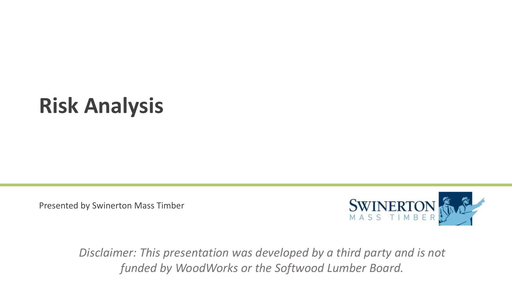## **Risk Analysis**

Presented by Swinerton Mass Timber



*Disclaimer: This presentation was developed by a third party and is not funded by WoodWorks or the Softwood Lumber Board.*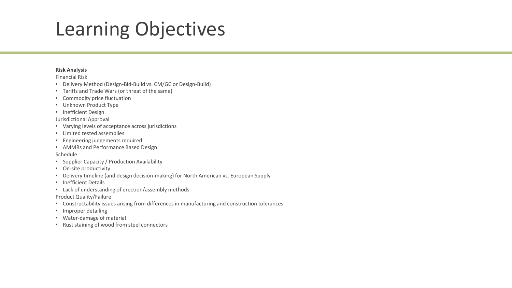#### Learning Objectives

#### **Risk Analysis**

Financial Risk

- Delivery Method (Design-Bid-Build vs. CM/GC or Design-Build)
- Tariffs and Trade Wars (or threat of the same)
- Commodity price fluctuation
- Unknown Product Type
- Inefficient Design

Jurisdictional Approval

- Varying levels of acceptance across jurisdictions
- Limited tested assemblies
- Engineering judgements required
- AMMRs and Performance Based Design

#### Schedule

- Supplier Capacity / Production Availability
- On-site productivity
- Delivery timeline (and design decision-making) for North American vs. European Supply
- Inefficient Details
- Lack of understanding of erection/assembly methods

Product Quality/Failure

- Constructability issues arising from differences in manufacturing and construction tolerances
- Improper detailing
- Water-damage of material
- Rust staining of wood from steel connectors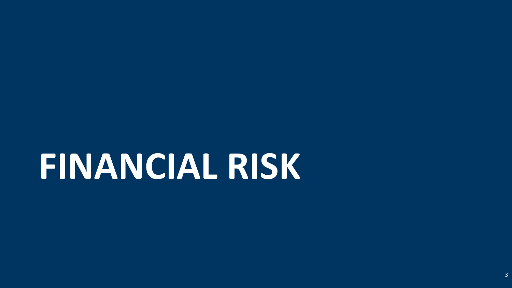# **FINANCIAL RISK**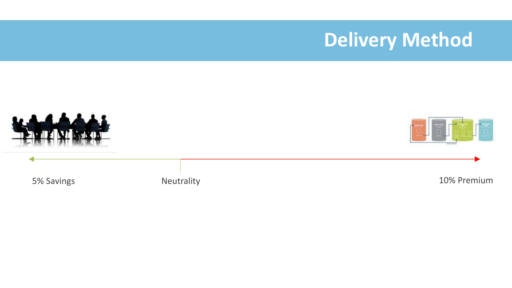#### **Delivery Method**

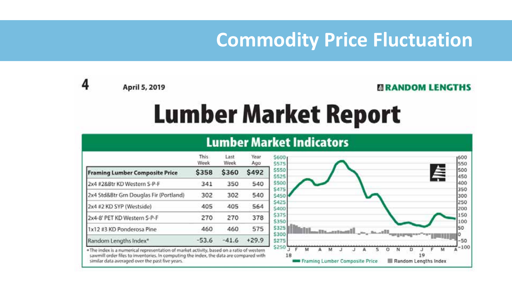#### **Commodity Price Fluctuation**

April 5, 2019

4

#### **ERANDOM LENGTHS**

:600

## **Lumber Market Report**

|                                        | This.<br>Week | Last<br>Week | Year<br>Ago |
|----------------------------------------|---------------|--------------|-------------|
| <b>Framing Lumber Composite Price</b>  | \$358         | \$360        | \$492       |
| 2x4 #2&Btr KD Western S-P-F            | 341           | 350          | 540         |
| 2x4 Std&Btr Grn Douglas Fir (Portland) | 302           | 302          | 540         |
| 2x4 #2 KD SYP (Westside)               | 405           | 405          | 564         |
| 2x4-8' PET KD Western S-P-F            | 270           | 270          | 378         |
| 1x12 #3 KD Ponderosa Pine              | 460           | 460          | 575         |
| Random Lengths Index*                  | $-53.6$       | $-41.6$      | $+29.9$     |

#### **Lumber Market Indicators**



. The index is a numerical representation of market activity, based on a ratio of western sawmill order files to inventories. In computing the index, the data are compared with similar data averaged over the past five years.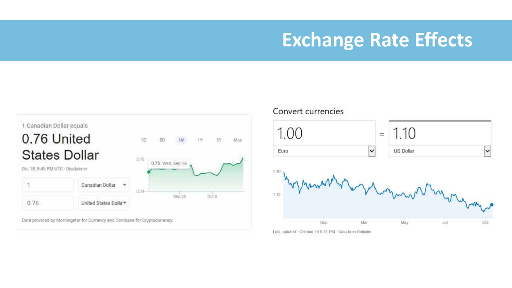#### **Exchange Rate Effects**





Last updated - October 14 9:41 PM - Data from Refinitiv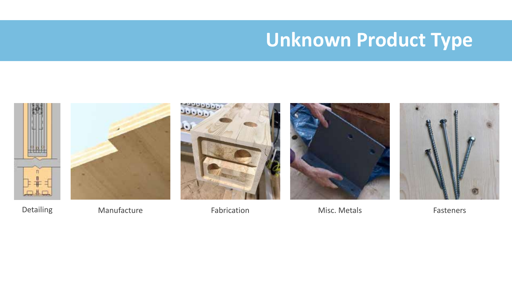### **Unknown Product Type**



Detailing **Manufacture Fabrication** Fabrication Misc. Metals Fasteners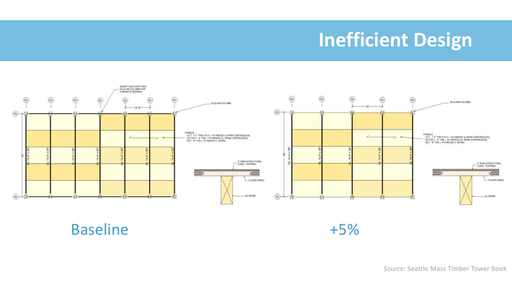### **Inefficient Design**



Baseline +5%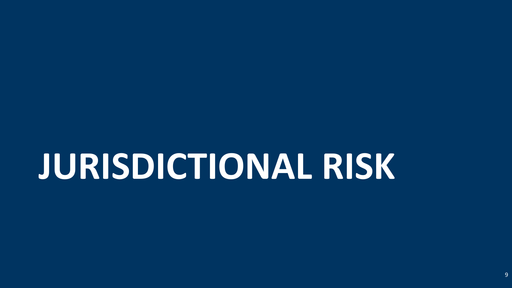## **JURISDICTIONAL RISK**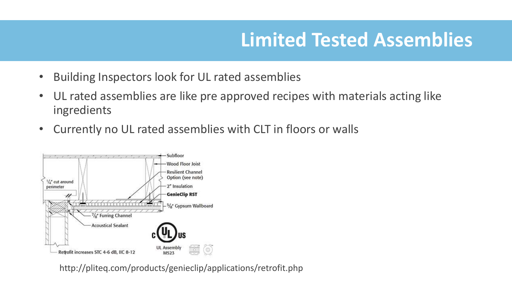### **Limited Tested Assemblies**

- Building Inspectors look for UL rated assemblies
- UL rated assemblies are like pre approved recipes with materials acting like ingredients
- Currently no UL rated assemblies with CLT in floors or walls



http://pliteq.com/products/genieclip/applications/retrofit.php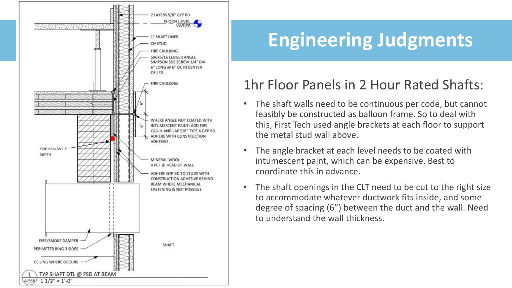

## **Engineering Judgments**

#### 1hr Floor Panels in 2 Hour Rated Shafts:

- The shaft walls need to be continuous per code, but cannot feasibly be constructed as balloon frame. So to deal with this, First Tech used angle brackets at each floor to support the metal stud wall above.
- The angle bracket at each level needs to be coated with intumescent paint, which can be expensive. Best to coordinate this in advance.
- The shaft openings in the CLT need to be cut to the right size to accommodate whatever ductwork fits inside, and some degree of spacing (6") between the duct and the wall. Need to understand the wall thickness.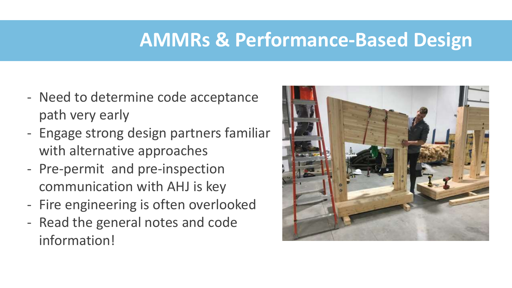#### **AMMRs & Performance-Based Design**

- Need to determine code acceptance path very early
- Engage strong design partners familiar with alternative approaches
- Pre-permit and pre-inspection communication with AHJ is key
- Fire engineering is often overlooked
- Read the general notes and code information!

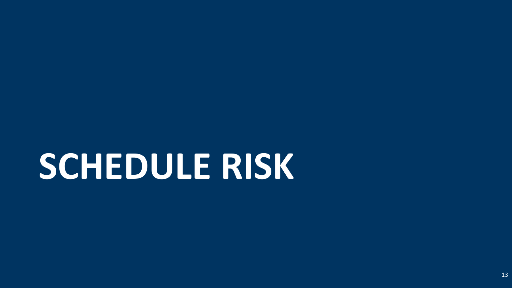# **SCHEDULE RISK**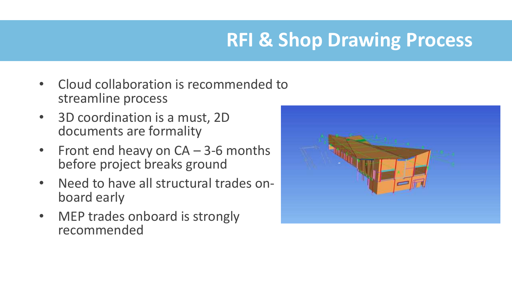### **RFI & Shop Drawing Process**

- Cloud collaboration is recommended to streamline process
- 3D coordination is a must, 2D documents are formality
- Front end heavy on CA 3-6 months before project breaks ground
- Need to have all structural trades onboard early
- MEP trades onboard is strongly recommended

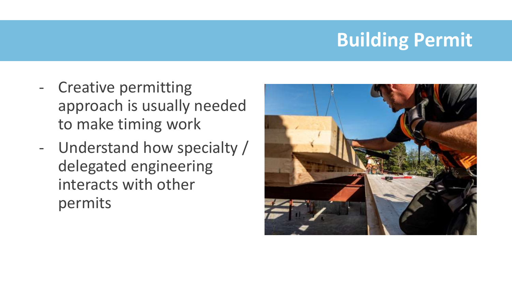## **Building Permit**

- Creative permitting approach is usually needed to make timing work
- Understand how specialty / delegated engineering interacts with other permits

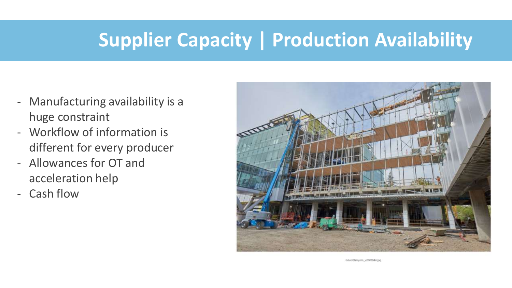#### **Supplier Capacity | Production Availability**

- Manufacturing availability is a huge constraint
- Workflow of information is different for every producer
- Allowances for OT and acceleration help
- Cash flow



CJonCMeyers JC886044.jpg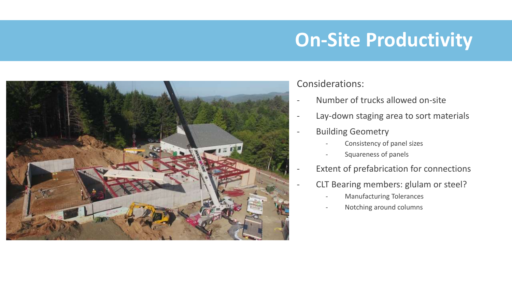### **On-Site Productivity**



#### Considerations:

- Number of trucks allowed on-site
- Lay-down staging area to sort materials
- Building Geometry
	- Consistency of panel sizes
		- Squareness of panels
- Extent of prefabrication for connections
	- CLT Bearing members: glulam or steel?
		- Manufacturing Tolerances
		- Notching around columns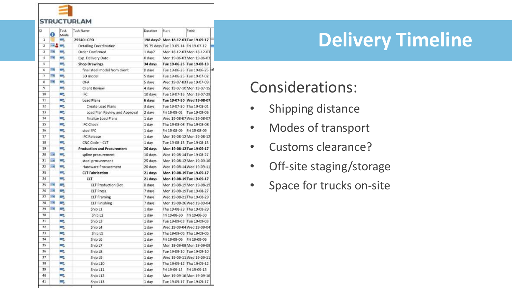

|    | 0   | Task<br>Mode | <b>Task Name</b>                  | Duration         | Start                                | Finish                      |
|----|-----|--------------|-----------------------------------|------------------|--------------------------------------|-----------------------------|
| 1  |     | - 2          | 25540 LCPD                        |                  | 198 days? Mon 18-12-03 Tue 19-09-17  |                             |
| 2  | まみし |              | Detailing Coordination            |                  | 35.75 days Tue 19-05-14 Fri 19-07-12 |                             |
| 3  | 罰   | ۰.           | Order Confirmed                   | 1 day?           |                                      | Man 18-12-03 Man 18-12-03   |
| 4  | m   | a,           | Exp. Delivery Date                | 0 days           |                                      | Mon 19-06-03 Mon 19-06-03   |
| 5  |     | -            | <b>Shop Drawings</b>              | 34 days          | Tue 19-06-25 Tue 19-08-13            |                             |
| 6  | m   | ۰.           | final steel model from client     | 0 days           |                                      | Tue 19-06-25 Tue 19-06-25 M |
| 7  | 罰   | ۰.           | 3D model                          | 5 days           | Tue 19-06-25 Tue 19-07-02            |                             |
| 8  | m   | a,           | OFA                               | 5 days           | Wed 19-07-03 Tue 19-07-09            |                             |
| 9  |     | п,           | Client Review                     | 4 days           |                                      | Wed 19-07-10 Mon 19-07-15   |
| 10 |     | ہے           | IFC                               | 10 days          |                                      | Tue 19-07-16 Mon 19-07-29   |
| 11 |     | c.           | <b>Load Plans</b>                 | 6 days           |                                      | Tue 19-07-30 Wed 19-08-07   |
| 12 |     | يما          | Create Load Plans                 | 3 days           | Tue 19-07-30 Thu 19-08-01            |                             |
| 13 |     | ہا           | Load Plan Review and Approval     | 2 days           | Fri 19-08-02                         | Tue 19-08-06                |
| 14 |     | ш,           | Finalize Load Plans               | 1 day            |                                      | Wed 19-08-07 Wed 19-08-07   |
| 15 |     | -            | <b>IFC Check</b>                  | 1 day            | Thu 19-08-08 Thu 19-08-08            |                             |
| 16 |     | -3           | steel IFC                         | 1 day            | Fri 19-08-09                         | Fri 19-08-09                |
| 17 |     | o,           | <b>IFC Release</b>                | 1 day            |                                      | Mon 19-08-12 Mon 19-08-12   |
| 18 |     | п,           | CNC Code - CLT                    | 1 day            | Tue 19-08-13 Tue 19-08-13            |                             |
| 19 |     | ш.           | <b>Production and Procurement</b> | 26 days          | Mon 19-08-12 Tue 19-09-17            |                             |
| 20 | m   | ш.           | spline procurement                | 10 days          | Wed 19-08-14 Tue 19-08-27            |                             |
| 21 | ≕   | -            | steel procurement                 | 25 days          |                                      | Man 19-08-12 Man 19-09-16   |
| 22 | E   | ш,           | Hardware Procurement              | 20 days          |                                      | Wed 19-08-14 Wed 19-09-11   |
| 23 |     | п.           | <b>CLT</b> Fabrication            | 21 days          | Mon 19-08-19 Tue 19-09-17            |                             |
| 24 |     | п,           | <b>CLT</b>                        | 21 days          | Mon 19-08-19 Tue 19-09-17            |                             |
| 25 | ▦   |              | <b>CLT Production Slot</b>        | 0 days           |                                      | Mon 19-08-19 Mon 19-08-19   |
| 26 | 畐   | ×.           | <b>CLT Press</b>                  | 7 days           | Mon 19-08-19 Tue 19-08-27            |                             |
| 27 | 罰   | u,           | <b>CLT</b> Framing                | 7 days           | Wed 19-08-21 Thu 19-08-29            |                             |
| 28 | m   | a pr         | <b>CLT Finishing</b>              | 7 days           |                                      | Mon 19-08-26 Wed 19-09-04   |
| 29 | 畾   | ی            | Ship <sub>L1</sub>                | 1 day            | Thu 19-08-29 Thu 19-08-29            |                             |
| 30 |     | L,           | Ship L2                           | 1 <sub>day</sub> | Fri 19-08-30                         | Fri 19-08-30                |
| 31 |     | ۰.           | Ship L3                           | 1 day            | Tue 19-09-03 Tue 19-09-03            |                             |
| 32 |     | ۰.           | Ship L4                           | 1 day            |                                      | Wed 19-09-04 Wed 19-09-04   |
| 33 |     | a,           | Ship L5                           | 1 day            | Thu 19-09-05 Thu 19-09-05            |                             |
| 34 |     | - 1          | Ship L6                           | 1 day            | Fri 19-09-06                         | Fri 19-09-06                |
| 35 |     | -            | Ship L7                           | 1 day            |                                      | Man 19-09-09 Man 19-09-09   |
| 36 |     | ۰.           | Ship L <sub>8</sub>               | 1 day            | Tue 19-09-10 Tue 19-09-10            |                             |
| 37 |     | a,           | Ship L9                           | $1$ day          |                                      | Wed 19-09-11 Wed 19-09-11   |
| 38 |     | پ            | Ship L10                          | 1 day            | Thu 19-09-12 Thu 19-09-12            |                             |
| 39 |     | ۰.           | Ship L11                          | 1 day            | Fri 19-09-13                         | Fri 19-09-13                |
| 40 |     | п,           | Ship L12                          | 1 day            |                                      | Mon 19-09-16 Mon 19-09-16   |
| 41 |     | بمسا         | Ship L13                          | 1 day            | Tue 19-09-17 Tue 19-09-17            |                             |

### **Delivery Timeline**

#### Considerations:

- Shipping distance
- Modes of transport
- Customs clearance?
- Off-site staging/storage
- Space for trucks on-site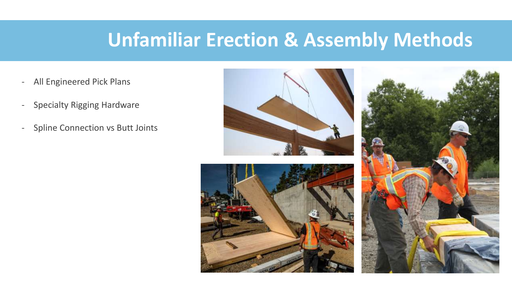#### **Unfamiliar Erection & Assembly Methods**

- All Engineered Pick Plans
- Specialty Rigging Hardware
- Spline Connection vs Butt Joints





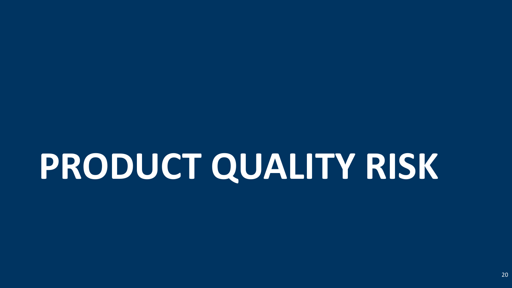# **PRODUCT QUALITY RISK**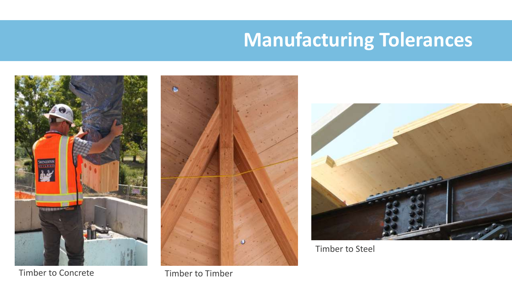#### **Manufacturing Tolerances**



Timber to Concrete Timber to Timber





Timber to Steel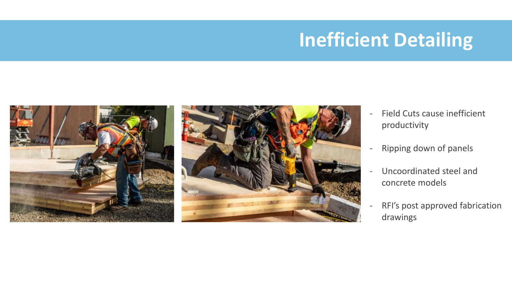#### **Inefficient Detailing**



- Field Cuts cause inefficient productivity
- Ripping down of panels
- Uncoordinated steel and concrete models
- RFI's post approved fabrication drawings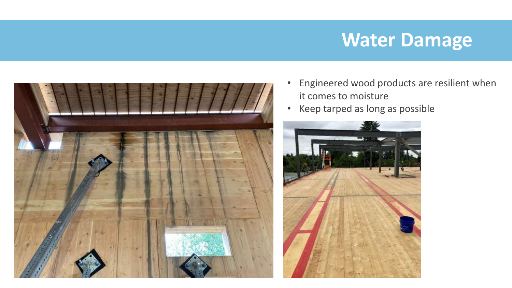#### **Water Damage**



- Engineered wood products are resilient when it comes to moisture
- Keep tarped as long as possible

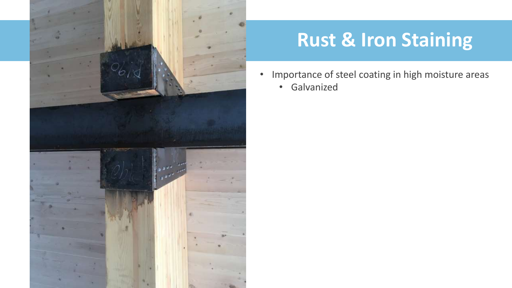

### **Rust & Iron Staining**

- Importance of steel coating in high moisture areas
	- Galvanized